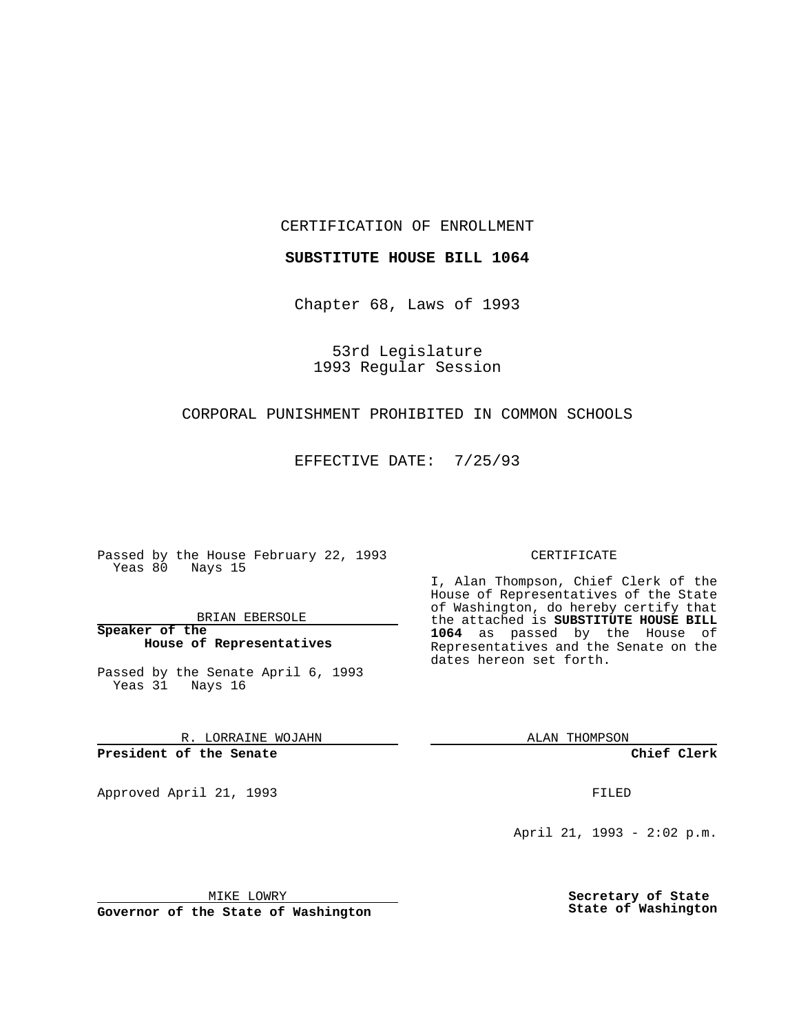CERTIFICATION OF ENROLLMENT

**SUBSTITUTE HOUSE BILL 1064**

Chapter 68, Laws of 1993

53rd Legislature 1993 Regular Session

## CORPORAL PUNISHMENT PROHIBITED IN COMMON SCHOOLS

EFFECTIVE DATE: 7/25/93

Passed by the House February 22, 1993 Yeas 80 Nays 15

BRIAN EBERSOLE

**Speaker of the House of Representatives**

Passed by the Senate April 6, 1993 Yeas 31 Nays 16

R. LORRAINE WOJAHN

**President of the Senate**

Approved April 21, 1993 **FILED** 

## CERTIFICATE

I, Alan Thompson, Chief Clerk of the House of Representatives of the State of Washington, do hereby certify that the attached is **SUBSTITUTE HOUSE BILL 1064** as passed by the House of Representatives and the Senate on the dates hereon set forth.

ALAN THOMPSON

**Chief Clerk**

April 21, 1993 - 2:02 p.m.

MIKE LOWRY

**Governor of the State of Washington**

**Secretary of State State of Washington**